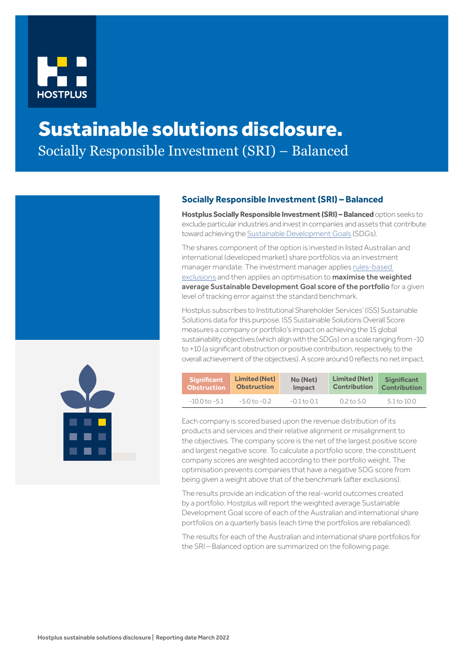

## Sustainable solutions disclosure. Socially Responsible Investment (SRI) – Balanced



## **Socially Responsible Investment (SRI) – Balanced**

**Hostplus Socially Responsible Investment (SRI) – Balanced** option seeks to exclude particular industries and invest in companies and assets that contribute toward achieving the [Sustainable Development Goals](https://sdgs.un.org/goals) (SDGs).

The shares component of the option is invested in listed Australian and international (developed market) share portfolios via an investment manager mandate. The investment manager applies [rules-based](https://hostplus.com.au/investment/investment-governance/socially-responsible-investment#comprehensive-list--of-what-the-option-avoids)  [exclusions](https://hostplus.com.au/investment/investment-governance/socially-responsible-investment#comprehensive-list--of-what-the-option-avoids) and then applies an optimisation to **maximise the weighted** average Sustainable Development Goal score of the portfolio for a given level of tracking error against the standard benchmark.

Hostplus subscribes to Institutional Shareholder Services' (ISS) Sustainable Solutions data for this purpose. ISS Sustainable Solutions Overall Score measures a company or portfolio's impact on achieving the 15 global sustainability objectives (which align with the SDGs) on a scale ranging from -10 to +10 (a significant obstruction or positive contribution, respectively, to the overall achievement of the objectives). A score around 0 reflects no net impact.

| <b>Significant</b> | <b>Limited (Net)</b> | No (Net)        | <b>Limited (Net)</b> | <b>Significant</b>  |
|--------------------|----------------------|-----------------|----------------------|---------------------|
| <b>Obstruction</b> | <b>Obstruction</b>   | <b>Impact</b>   | <b>Contribution</b>  | <b>Contribution</b> |
| $-10.0$ to $-5.1$  | $-5.0$ to $-0.2$     | $-0.1$ to $0.1$ | 0.2 to 5.0           | 5.1 to 10.0         |

Each company is scored based upon the revenue distribution of its products and services and their relative alignment or misalignment to the objectives. The company score is the net of the largest positive score and largest negative score. To calculate a portfolio score, the constituent company scores are weighted according to their portfolio weight. The optimisation prevents companies that have a negative SDG score from being given a weight above that of the benchmark (after exclusions).

The results provide an indication of the real-world outcomes created by a portfolio. Hostplus will report the weighted average Sustainable Development Goal score of each of the Australian and international share portfolios on a quarterly basis (each time the portfolios are rebalanced).

The results for each of the Australian and international share portfolios for the SRI – Balanced option are summarized on the following page.